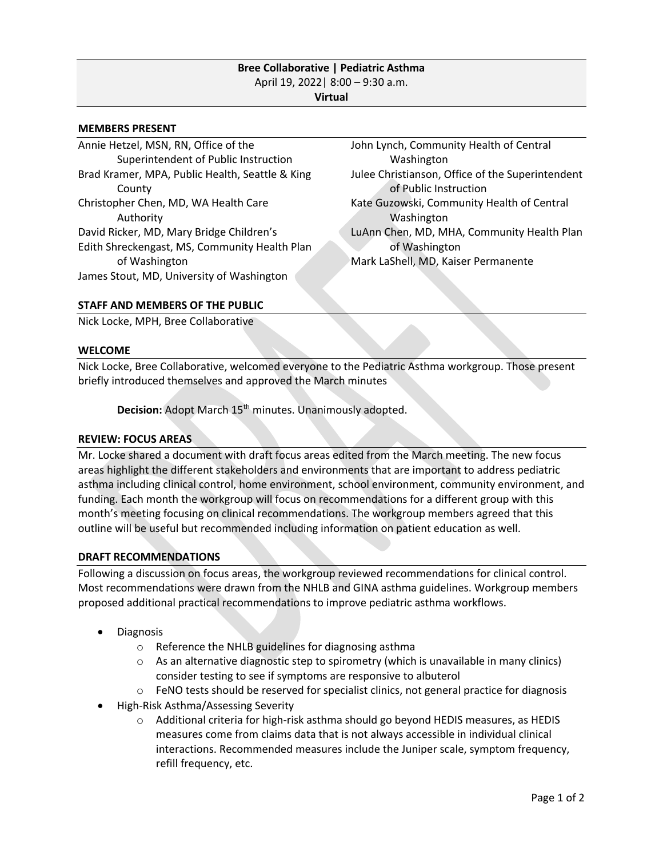### **Bree Collaborative | Pediatric Asthma** April 19, 2022| 8:00 – 9:30 a.m. **Virtual**

#### **MEMBERS PRESENT**

Annie Hetzel, MSN, RN, Office of the Superintendent of Public Instruction Brad Kramer, MPA, Public Health, Seattle & King County Christopher Chen, MD, WA Health Care Authority David Ricker, MD, Mary Bridge Children's Edith Shreckengast, MS, Community Health Plan of Washington James Stout, MD, University of Washington

John Lynch, Community Health of Central Washington Julee Christianson, Office of the Superintendent of Public Instruction Kate Guzowski, Community Health of Central Washington LuAnn Chen, MD, MHA, Community Health Plan of Washington Mark LaShell, MD, Kaiser Permanente

### **STAFF AND MEMBERS OF THE PUBLIC**

Nick Locke, MPH, Bree Collaborative

#### **WELCOME**

Nick Locke, Bree Collaborative, welcomed everyone to the Pediatric Asthma workgroup. Those present briefly introduced themselves and approved the March minutes

**Decision:** Adopt March 15<sup>th</sup> minutes. Unanimously adopted.

# **REVIEW: FOCUS AREAS**

Mr. Locke shared a document with draft focus areas edited from the March meeting. The new focus areas highlight the different stakeholders and environments that are important to address pediatric asthma including clinical control, home environment, school environment, community environment, and funding. Each month the workgroup will focus on recommendations for a different group with this month's meeting focusing on clinical recommendations. The workgroup members agreed that this outline will be useful but recommended including information on patient education as well.

### **DRAFT RECOMMENDATIONS**

Following a discussion on focus areas, the workgroup reviewed recommendations for clinical control. Most recommendations were drawn from the NHLB and GINA asthma guidelines. Workgroup members proposed additional practical recommendations to improve pediatric asthma workflows.

- Diagnosis
	- o Reference the NHLB guidelines for diagnosing asthma
	- $\circ$  As an alternative diagnostic step to spirometry (which is unavailable in many clinics) consider testing to see if symptoms are responsive to albuterol
	- $\circ$  FeNO tests should be reserved for specialist clinics, not general practice for diagnosis
- High-Risk Asthma/Assessing Severity
	- $\circ$  Additional criteria for high-risk asthma should go beyond HEDIS measures, as HEDIS measures come from claims data that is not always accessible in individual clinical interactions. Recommended measures include the Juniper scale, symptom frequency, refill frequency, etc.